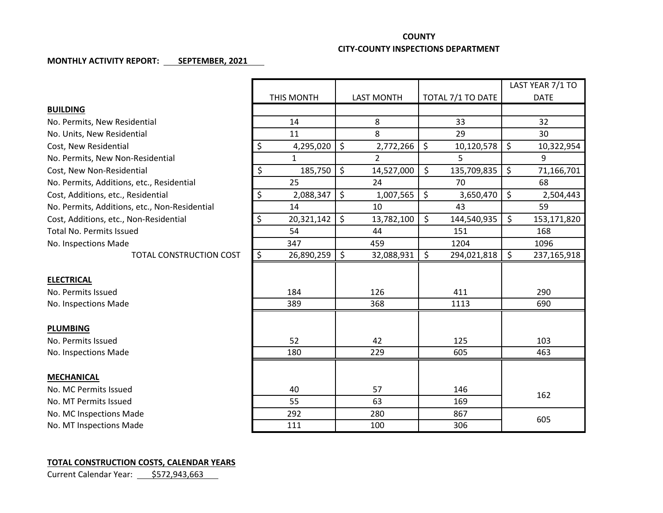## **COUNTY**

## **CITY-COUNTY INSPECTIONS DEPARTMENT**

## **MONTHLY ACTIVITY REPORT: SEPTEMBER, 2021**

|                                               |                      |                   |                             | LAST YEAR 7/1 TO  |
|-----------------------------------------------|----------------------|-------------------|-----------------------------|-------------------|
|                                               | THIS MONTH           | <b>LAST MONTH</b> | TOTAL 7/1 TO DATE           | <b>DATE</b>       |
| <b>BUILDING</b>                               |                      |                   |                             |                   |
| No. Permits, New Residential                  | 14                   | 8                 | 33                          | 32                |
| No. Units, New Residential                    | 11                   | 8                 | 29                          | 30                |
| Cost, New Residential                         | \$<br>4,295,020      | \$<br>2,772,266   | \$<br>10,120,578            | \$<br>10,322,954  |
| No. Permits, New Non-Residential              | $\mathbf{1}$         | $\overline{2}$    | 5                           | 9                 |
| Cost, New Non-Residential                     | \$<br>185,750        | \$<br>14,527,000  | $\zeta$<br>135,709,835      | \$<br>71,166,701  |
| No. Permits, Additions, etc., Residential     | 25                   | 24                | 70                          | 68                |
| Cost, Additions, etc., Residential            | $\zeta$<br>2,088,347 | \$<br>1,007,565   | \$<br>3,650,470             | \$<br>2,504,443   |
| No. Permits, Additions, etc., Non-Residential | 14                   | 10                | 43                          | 59                |
| Cost, Additions, etc., Non-Residential        | \$<br>20,321,142     | \$<br>13,782,100  | $\mathsf{S}$<br>144,540,935 | \$<br>153,171,820 |
| <b>Total No. Permits Issued</b>               | 54                   | 44                | 151                         | 168               |
| No. Inspections Made                          | 347                  | 459               | 1204                        | 1096              |
| TOTAL CONSTRUCTION COST                       | \$<br>26,890,259     | \$<br>32,088,931  | $\zeta$<br>294,021,818      | \$<br>237,165,918 |
|                                               |                      |                   |                             |                   |
| <b>ELECTRICAL</b>                             |                      |                   |                             |                   |
| No. Permits Issued                            | 184                  | 126               | 411                         | 290               |
| No. Inspections Made                          | 389                  | 368               | 1113                        | 690               |
|                                               |                      |                   |                             |                   |
| <b>PLUMBING</b>                               |                      |                   |                             |                   |
| No. Permits Issued                            | 52                   | 42                | 125                         | 103               |
| No. Inspections Made                          | 180                  | 229               | 605                         | 463               |
|                                               |                      |                   |                             |                   |
| <b>MECHANICAL</b>                             |                      |                   |                             |                   |
| No. MC Permits Issued                         | 40                   | 57                | 146                         | 162               |
| No. MT Permits Issued                         | 55                   | 63                | 169                         |                   |
| No. MC Inspections Made                       | 292                  | 280               | 867                         | 605               |
| No. MT Inspections Made                       | 111                  | 100               | 306                         |                   |

## **TOTAL CONSTRUCTION COSTS, CALENDAR YEARS**

Current Calendar Year: \$572,943,663